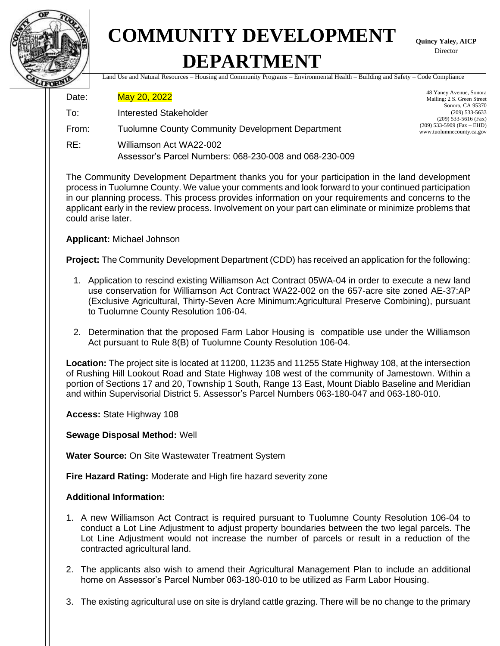

## **COMMUNITY DEVELOPMENT DEPARTMENT**

**Quincy Yaley, AICP** Director

Land Use and Natural Resources – Housing and Community Programs – Environmental Health – Building and Safety – Code Compliance

Date: May 20, 2022

- To: Interested Stakeholder
- From: Tuolumne County Community Development Department
- RE: Williamson Act WA22-002 Assessor's Parcel Numbers: 068-230-008 and 068-230-009

48 Yaney Avenue, Sonora Mailing: 2 S. Green Street Sonora, CA 95370 (209) 533-5633 (209) 533-5616 (Fax) (209) 533-5909 (Fax – EHD) www.tuolumnecounty.ca.gov

The Community Development Department thanks you for your participation in the land development process in Tuolumne County. We value your comments and look forward to your continued participation in our planning process. This process provides information on your requirements and concerns to the applicant early in the review process. Involvement on your part can eliminate or minimize problems that could arise later.

**Applicant:** Michael Johnson

**Project:** The Community Development Department (CDD) has received an application for the following:

- 1. Application to rescind existing Williamson Act Contract 05WA-04 in order to execute a new land use conservation for Williamson Act Contract WA22-002 on the 657-acre site zoned AE-37:AP (Exclusive Agricultural, Thirty-Seven Acre Minimum:Agricultural Preserve Combining), pursuant to Tuolumne County Resolution 106-04.
- 2. Determination that the proposed Farm Labor Housing is compatible use under the Williamson Act pursuant to Rule 8(B) of Tuolumne County Resolution 106-04.

**Location:** The project site is located at 11200, 11235 and 11255 State Highway 108, at the intersection of Rushing Hill Lookout Road and State Highway 108 west of the community of Jamestown. Within a portion of Sections 17 and 20, Township 1 South, Range 13 East, Mount Diablo Baseline and Meridian and within Supervisorial District 5. Assessor's Parcel Numbers 063-180-047 and 063-180-010.

**Access:** State Highway 108

**Sewage Disposal Method:** Well

**Water Source:** On Site Wastewater Treatment System

**Fire Hazard Rating:** Moderate and High fire hazard severity zone

## **Additional Information:**

- 1. A new Williamson Act Contract is required pursuant to Tuolumne County Resolution 106-04 to conduct a Lot Line Adjustment to adjust property boundaries between the two legal parcels. The Lot Line Adjustment would not increase the number of parcels or result in a reduction of the contracted agricultural land.
- 2. The applicants also wish to amend their Agricultural Management Plan to include an additional home on Assessor's Parcel Number 063-180-010 to be utilized as Farm Labor Housing.
- 3. The existing agricultural use on site is dryland cattle grazing. There will be no change to the primary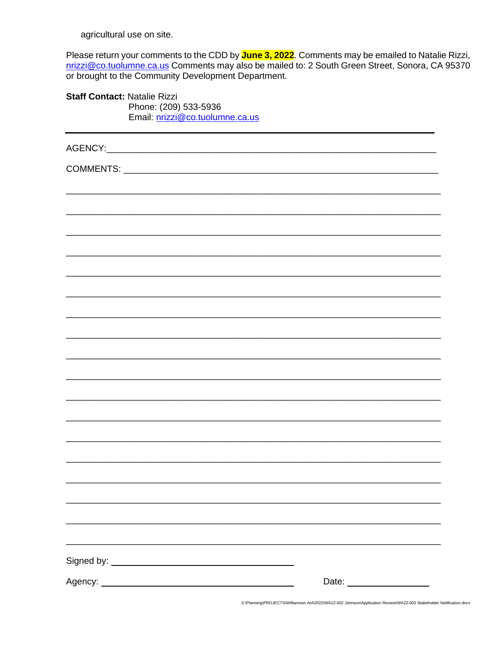agricultural use on site.

Please return your comments to the CDD by June 3, 2022. Comments may be emailed to Natalie Rizzi, nrizzi@co.tuolumne.ca.us Comments may also be mailed to: 2 South Green Street, Sonora, CA 95370 or brought to the Community Development Department.

Staff Contact: Natalie Rizzi Phone: (209) 533-5936 Email: nrizzi@co.tuolumne.ca.us

S:\Planning\PROJECTS\Williamson Act\2022\WA22-002 Johnson\Application Review\WA22-002 Stakeholder Notification.docx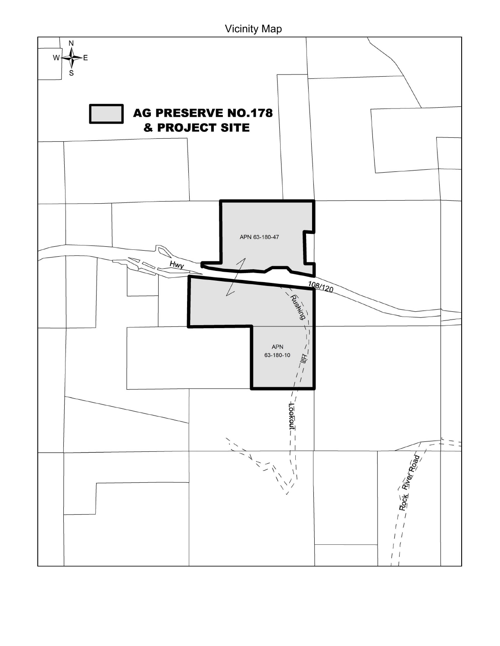